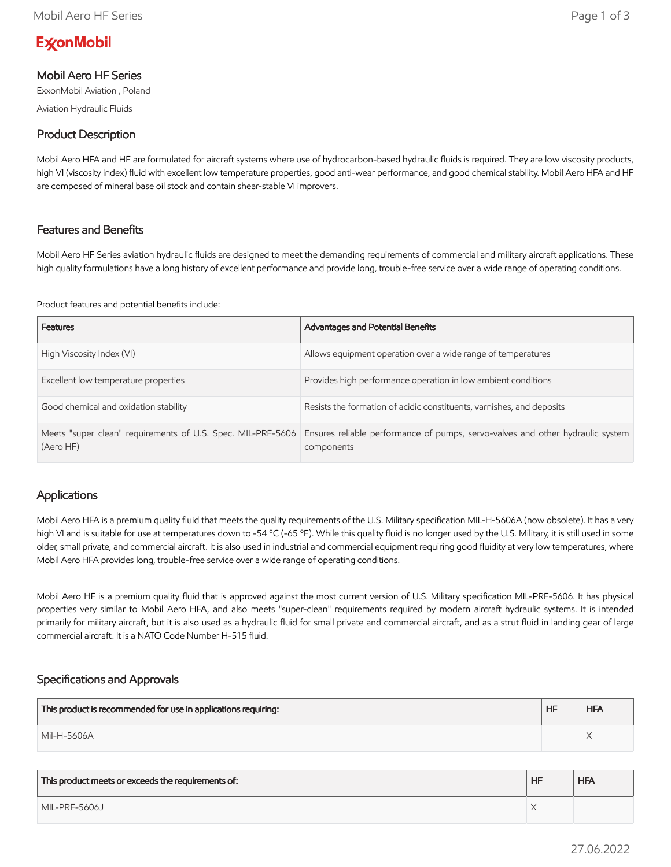# **ExconMobil**

## Mobil Aero HF Series

ExxonMobil Aviation , Poland

Aviation Hydraulic Fluids

## Product Description

Mobil Aero HFA and HF are formulated for aircraft systems where use of hydrocarbon-based hydraulic fluids is required. They are low viscosity products, high VI (viscosity index) fluid with excellent low temperature properties, good anti-wear performance, and good chemical stability. Mobil Aero HFA and HF are composed of mineral base oil stock and contain shear-stable VI improvers.

#### Features and Benefits

Mobil Aero HF Series aviation hydraulic fluids are designed to meet the demanding requirements of commercial and military aircraft applications. These high quality formulations have a long history of excellent performance and provide long, trouble-free service over a wide range of operating conditions.

Product features and potential benefits include:

| <b>Features</b>                                                          | <b>Advantages and Potential Benefits</b>                                                     |
|--------------------------------------------------------------------------|----------------------------------------------------------------------------------------------|
| High Viscosity Index (VI)                                                | Allows equipment operation over a wide range of temperatures                                 |
| Excellent low temperature properties                                     | Provides high performance operation in low ambient conditions                                |
| Good chemical and oxidation stability                                    | Resists the formation of acidic constituents, varnishes, and deposits                        |
| Meets "super clean" requirements of U.S. Spec. MIL-PRF-5606<br>(Aero HF) | Ensures reliable performance of pumps, servo-valves and other hydraulic system<br>components |

#### Applications

Mobil Aero HFA is a premium quality fluid that meets the quality requirements of the U.S. Military specification MIL-H-5606A (now obsolete). It has a very high VI and is suitable for use at temperatures down to -54 °C (-65 °F). While this quality fluid is no longer used by the U.S. Military, it is still used in some older, small private, and commercial aircraft. It is also used in industrial and commercial equipment requiring good fluidity at very low temperatures, where Mobil Aero HFA provides long, trouble-free service over a wide range of operating conditions.

Mobil Aero HF is a premium quality fluid that is approved against the most current version of U.S. Military specification MIL-PRF-5606. It has physical properties very similar to Mobil Aero HFA, and also meets "super-clean" requirements required by modern aircraft hydraulic systems. It is intended primarily for military aircraft, but it is also used as a hydraulic fluid for small private and commercial aircraft, and as a strut fluid in landing gear of large commercial aircraft. It is a NATO Code Number H-515 fluid.

## Specifications and Approvals

| This product is recommended for use in applications requiring: | HF | <b>HFA</b> |
|----------------------------------------------------------------|----|------------|
| Mil-H-5606A                                                    |    |            |

| This product meets or exceeds the requirements of: | <b>HF</b> | <b>HFA</b> |
|----------------------------------------------------|-----------|------------|
| MIL-PRF-5606J                                      |           |            |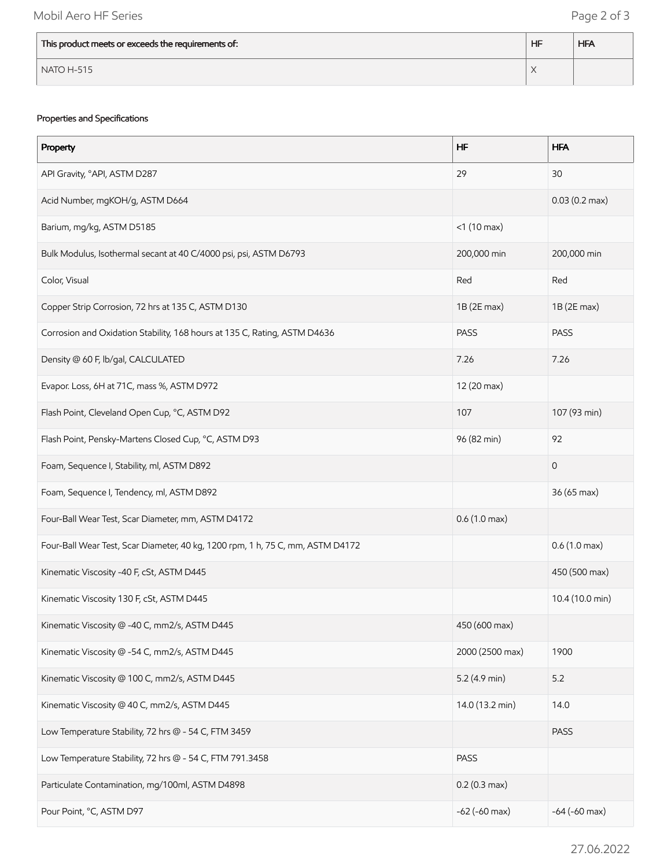| This product meets or exceeds the requirements of: | <b>HF</b> | <b>HFA</b> |
|----------------------------------------------------|-----------|------------|
| $\sqrt{}$ NATO H-515                               |           |            |

#### Properties and Specifications

| Property                                                                       | <b>HF</b>              | <b>HFA</b>              |
|--------------------------------------------------------------------------------|------------------------|-------------------------|
| API Gravity, °API, ASTM D287                                                   | 29                     | 30                      |
| Acid Number, mgKOH/g, ASTM D664                                                |                        | $0.03(0.2 \text{ max})$ |
| Barium, mg/kg, ASTM D5185                                                      | $<$ 1 (10 max)         |                         |
| Bulk Modulus, Isothermal secant at 40 C/4000 psi, psi, ASTM D6793              | 200,000 min            | 200,000 min             |
| Color, Visual                                                                  | Red                    | Red                     |
| Copper Strip Corrosion, 72 hrs at 135 C, ASTM D130                             | 1B (2E max)            | $1B(2E$ max)            |
| Corrosion and Oxidation Stability, 168 hours at 135 C, Rating, ASTM D4636      | <b>PASS</b>            | <b>PASS</b>             |
| Density @ 60 F, lb/gal, CALCULATED                                             | 7.26                   | 7.26                    |
| Evapor. Loss, 6H at 71C, mass %, ASTM D972                                     | 12 (20 max)            |                         |
| Flash Point, Cleveland Open Cup, °C, ASTM D92                                  | 107                    | 107 (93 min)            |
| Flash Point, Pensky-Martens Closed Cup, °C, ASTM D93                           | 96 (82 min)            | 92                      |
| Foam, Sequence I, Stability, ml, ASTM D892                                     |                        | $\mathbf 0$             |
| Foam, Sequence I, Tendency, ml, ASTM D892                                      |                        | 36 (65 max)             |
| Four-Ball Wear Test, Scar Diameter, mm, ASTM D4172                             | $0.6(1.0 \text{ max})$ |                         |
| Four-Ball Wear Test, Scar Diameter, 40 kg, 1200 rpm, 1 h, 75 C, mm, ASTM D4172 |                        | $0.6(1.0 \text{ max})$  |
| Kinematic Viscosity -40 F, cSt, ASTM D445                                      |                        | 450 (500 max)           |
| Kinematic Viscosity 130 F, cSt, ASTM D445                                      |                        | 10.4 (10.0 min)         |
| Kinematic Viscosity @ -40 C, mm2/s, ASTM D445                                  | 450 (600 max)          |                         |
| Kinematic Viscosity @ -54 C, mm2/s, ASTM D445                                  | 2000 (2500 max)        | 1900                    |
| Kinematic Viscosity @ 100 C, mm2/s, ASTM D445                                  | $5.2$ (4.9 min)        | 5.2                     |
| Kinematic Viscosity @ 40 C, mm2/s, ASTM D445                                   | 14.0 (13.2 min)        | 14.0                    |
| Low Temperature Stability, 72 hrs @ - 54 C, FTM 3459                           |                        | <b>PASS</b>             |
| Low Temperature Stability, 72 hrs @ - 54 C, FTM 791.3458                       | <b>PASS</b>            |                         |
| Particulate Contamination, mg/100ml, ASTM D4898                                | $0.2(0.3 \text{ max})$ |                         |
| Pour Point, °C, ASTM D97                                                       | $-62$ ( $-60$ max)     | $-64$ ( $-60$ max)      |